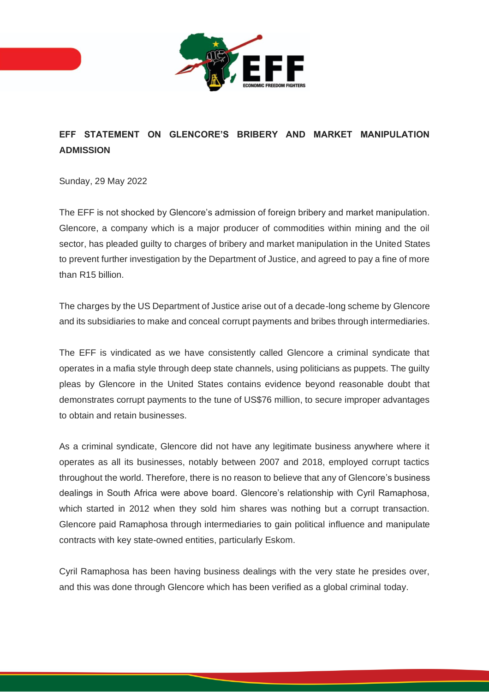

## **EFF STATEMENT ON GLENCORE'S BRIBERY AND MARKET MANIPULATION ADMISSION**

Sunday, 29 May 2022

The EFF is not shocked by Glencore's admission of foreign bribery and market manipulation. Glencore, a company which is a major producer of commodities within mining and the oil sector, has pleaded guilty to charges of bribery and market manipulation in the United States to prevent further investigation by the Department of Justice, and agreed to pay a fine of more than R15 billion.

The charges by the US Department of Justice arise out of a decade-long scheme by Glencore and its subsidiaries to make and conceal corrupt payments and bribes through intermediaries.

The EFF is vindicated as we have consistently called Glencore a criminal syndicate that operates in a mafia style through deep state channels, using politicians as puppets. The guilty pleas by Glencore in the United States contains evidence beyond reasonable doubt that demonstrates corrupt payments to the tune of US\$76 million, to secure improper advantages to obtain and retain businesses.

As a criminal syndicate, Glencore did not have any legitimate business anywhere where it operates as all its businesses, notably between 2007 and 2018, employed corrupt tactics throughout the world. Therefore, there is no reason to believe that any of Glencore's business dealings in South Africa were above board. Glencore's relationship with Cyril Ramaphosa, which started in 2012 when they sold him shares was nothing but a corrupt transaction. Glencore paid Ramaphosa through intermediaries to gain political influence and manipulate contracts with key state-owned entities, particularly Eskom.

Cyril Ramaphosa has been having business dealings with the very state he presides over, and this was done through Glencore which has been verified as a global criminal today.